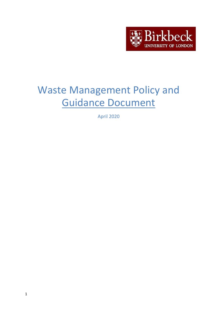

# Waste Management Policy and Guidance Document

April 2020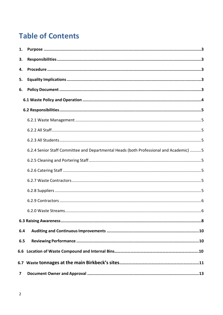# **Table of Contents**

| 1.                                                                                     |
|----------------------------------------------------------------------------------------|
| 3.                                                                                     |
| 4.                                                                                     |
| 5.                                                                                     |
| 6.                                                                                     |
|                                                                                        |
|                                                                                        |
|                                                                                        |
|                                                                                        |
|                                                                                        |
| 6.2.4 Senior Staff Committee and Departmental Heads (both Professional and Academic) 5 |
|                                                                                        |
|                                                                                        |
|                                                                                        |
|                                                                                        |
|                                                                                        |
|                                                                                        |
|                                                                                        |
| 6.4                                                                                    |
| 6.5                                                                                    |
|                                                                                        |
|                                                                                        |
| 7                                                                                      |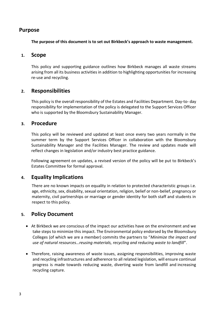# <span id="page-2-0"></span>**Purpose**

**The purpose of this document is to set out Birkbeck's approach to waste management.**

# **1. Scope**

This policy and supporting guidance outlines how Birkbeck manages all waste streams arising from all its business activities in addition to highlighting opportunities for increasing re-use and recycling.

# <span id="page-2-1"></span>**2. Responsibilities**

This policy is the overall responsibility of the Estates and Facilities Department. Day-to- day responsibility for implementation of the policy is delegated to the Support Services Officer who is supported by the Bloomsbury Sustainability Manager.

# <span id="page-2-2"></span>**3. Procedure**

This policy will be reviewed and updated at least once every two years normally in the summer term by the Support Services Officer in collaboration with the Bloomsbury Sustainability Manager and the Facilities Manager. The review and updates made will reflect changes in legislation and/or industry best practice guidance.

Following agreement on updates, a revised version of the policy will be put to Birkbeck's Estates Committee for formal approval.

# <span id="page-2-3"></span>**4. Equality Implications**

There are no known impacts on equality in relation to protected characteristic groups i.e. age, ethnicity, sex, disability, sexual orientation, religion, belief or non-belief, pregnancy or maternity, civil partnerships or marriage or gender identity for both staff and students in respect to this policy.

# <span id="page-2-4"></span>**5. Policy Document**

- At Birkbeck we are conscious of the impact our activities have on the environment and we take steps to minimize this impact. The Environmental policy endorsed by the Bloomsbury Colleges (of which we are a member) commits the partners to "*Minimize the impact and use of natural resources…reusing materials, recycling and reducing waste to landfill*".
- Therefore, raising awareness of waste issues, assigning responsibilities, improving waste and recycling infrastructures and adherence to all related legislation, will ensure continual progress is made towards reducing waste, diverting waste from landfill and increasing recycling capture.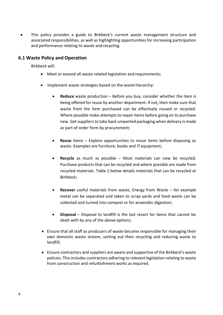This policy provides a guide to Birkbeck's current waste management structure and associated responsibilities, as well as highlighting opportunities for increasing participation and performance relating to waste and recycling.

# <span id="page-3-0"></span>**6.1 Waste Policy and Operation**

Birkbeck will:

- Meet or exceed all waste related legislation and requirements;
- Implement waste strategies based on the waste hierarchy:
	- **Reduce** waste production Before you buy, consider whether the item is being offered for reuse by another department. If not, then make sure that waste from the item purchased can be effectively reused or recycled. Where possible make attempts to repair items before going on to purchase new. Get suppliers to take back unwanted packaging when delivery is made as part of order form by procurement;
	- **Reuse** items Explore opportunities to reuse items before disposing as waste. Examples are furniture, books and IT equipment;
	- **Recycle** as much as possible Most materials can now be recycled. Purchase products that can be recycled and where possible are made from recycled materials. Table 1 below details materials that can be recycled at Birkbeck;
	- **Recover** useful materials from waste, Energy from Waste for example metal can be separated and taken to scrap yards and food waste can be collected and turned into compost or for anaerobic digestion;
	- **Disposal**  Disposal to landfill is the last resort for items that cannot be dealt with by any of the above options;
- Ensure that all staff as producers of waste become responsible for managing their own domestic waste stream, sorting out their recycling and reducing waste to landfill;
- Ensure contractors and suppliers are aware and supportive of the Birkbeck's waste policies. This includes contractors adhering to relevant legislation relating to waste from construction and refurbishment works as required.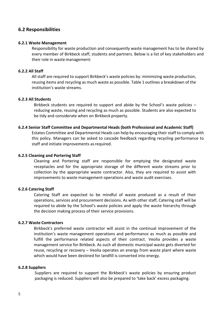# <span id="page-4-0"></span>**6.2 Responsibilities**

#### <span id="page-4-1"></span>**6.2.1 Waste Management**

Responsibility for waste production and consequently waste management has to be shared by every member of Birkbeck staff, students and partners. Below is a list of key stakeholders and their role in waste management:

#### <span id="page-4-2"></span>**6.2.2 All Staff**

All staff are required to support Birkbeck's waste policies by: minimizing waste production, reusing items and recycling as much waste as possible. Table 1 outlines a breakdown of the institution's waste streams.

#### <span id="page-4-3"></span>**6.2.3 All Students**

Birkbeck students are required to support and abide by the School's waste policies – reducing waste, reusing and recycling as much as possible. Students are also expected to be tidy and considerate when on Birkbeck property.

#### <span id="page-4-4"></span>**6.2.4 Senior Staff Committee and Departmental Heads (both Professional and Academic Staff)**

Estates Committee and Departmental Heads can help by encouraging their staff to comply with this policy. Managers can be asked to cascade feedback regarding recycling performance to staff and initiate improvements as required.

#### <span id="page-4-5"></span>**6.2.5 Cleaning and Portering Staff**

Cleaning and Portering staff are responsible for emptying the designated waste receptacles and for the appropriate storage of the different waste streams prior to collection by the appropriate waste contractor. Also, they are required to assist with improvements to waste management operations and waste audit exercises.

#### <span id="page-4-6"></span>**6.2.6 Catering Staff**

Catering Staff are expected to be mindful of waste produced as a result of their operations, services and procurement decisions. As with other staff, Catering staff will be required to abide by the School's waste policies and apply the waste hierarchy through the decision making process of their service provisions.

#### <span id="page-4-7"></span>**6.2.7 Waste Contractors**

Birkbeck's preferred waste contractor will assist in the continual improvement of the institution's waste management operations and performance as much as possible and fulfill the performance related aspects of their contract. Veolia provides a waste management service for Birkbeck. As such all domestic municipal waste gets diverted for reuse, recycling or recovery – Veolia operates an energy from waste plant where waste which would have been destined for landfill is converted into energy.

#### <span id="page-4-8"></span>**6.2.8 Suppliers**

Suppliers are required to support the Birkbeck's waste policies by ensuring product packaging is reduced. Suppliers will also be prepared to 'take back' excess packaging.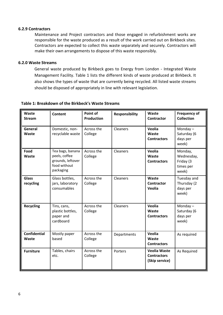#### <span id="page-5-0"></span>**6.2.9 Contractors**

Maintenance and Project contractors and those engaged in refurbishment works are responsible for the waste produced as a result of the work carried out on Birkbeck sites. Contractors are expected to collect this waste separately and securely. Contractors will make their own arrangements to dispose of this waste responsibly.

#### <span id="page-5-1"></span>**6.2.0 Waste Streams**

General waste produced by Birkbeck goes to Energy from London - Integrated Waste Management Facility. Table 1 lists the different kinds of waste produced at Birkbeck. It also shows the types of waste that are currently being recycled. All listed waste streams should be disposed of appropriately in line with relevant legislation.

| Waste<br><b>Stream</b>              | <b>Content</b>                                                                      | Point of<br><b>Production</b> | <b>Responsibility</b> | Waste<br><b>Contractor</b>                                  | <b>Frequency of</b><br><b>Collection</b>                 |
|-------------------------------------|-------------------------------------------------------------------------------------|-------------------------------|-----------------------|-------------------------------------------------------------|----------------------------------------------------------|
| General<br>Waste                    | Domestic, non-<br>recyclable waste                                                  | Across the<br>College         | Cleaners              | Veolia<br>Waste<br><b>Contractors</b>                       | Monday $-$<br>Saturday (6<br>days per<br>week)           |
| Food<br>Waste                       | Tea bags, banana<br>peels, coffee<br>grounds, leftover<br>food without<br>packaging | Across the<br>College         | Cleaners              | <b>Veolia</b><br>Waste<br><b>Contractors</b>                | Monday,<br>Wednesday,<br>Friday (3<br>times per<br>week) |
| <b>Glass</b><br>recycling           | Glass bottles,<br>jars, laboratory<br>consumables                                   | Across the<br>College         | Cleaners              | Waste<br>Contractor<br><b>Veolia</b>                        | Tuesday and<br>Thursday (2<br>days per<br>week)          |
| <b>Recycling</b>                    | Tins, cans,<br>plastic bottles,<br>paper and<br>cardboard                           | Across the<br>College         | <b>Cleaners</b>       | Veolia<br>Waste<br><b>Contractors</b>                       | Monday $-$<br>Saturday (6<br>days per<br>week)           |
| <b>Confidential</b><br><b>Waste</b> | Mostly paper<br>based                                                               | Across the<br>College         | Departments           | <b>Veolia</b><br>Waste<br><b>Contractors</b>                | As required                                              |
| <b>Furniture</b>                    | Tables, chairs<br>etc.                                                              | Across the<br>College         | Porters               | <b>Veolia Waste</b><br><b>Contractors</b><br>(Skip service) | As Required                                              |

#### **Table 1: Breakdown of the Birkbeck's Waste Streams**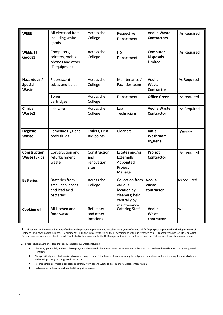| <b>WEEE</b>                                   | All electrical items<br>including white<br>goods                        | Across the<br>College                      | Respective<br>Departments                                                                  | <b>Veolia Waste</b><br><b>Contractors</b>      | As Required |
|-----------------------------------------------|-------------------------------------------------------------------------|--------------------------------------------|--------------------------------------------------------------------------------------------|------------------------------------------------|-------------|
| <b>WEEE: IT</b><br>Goods1                     | Computers,<br>printers, mobile<br>phones and other<br>IT equipment      | Across the<br>College                      | <b>ITS</b><br>Department                                                                   | Computer<br><b>Disposals</b><br><b>Limited</b> | As Required |
| Hazardous /<br><b>Special</b><br><b>Waste</b> | Fluorescent<br>tubes and bulbs                                          | Across the<br>College                      | Maintenance /<br><b>Facilities team</b>                                                    | Veolia<br>Waste<br><b>Contractor</b>           | As Required |
|                                               | Toner<br>cartridges                                                     | Across the<br>College                      | Departments                                                                                | <b>Office Green</b>                            | As required |
| <b>Clinical</b><br>Waste <sub>2</sub>         | Lab waste                                                               | Across the<br>College                      | Lab<br><b>Technicians</b>                                                                  | <b>Veolia Waste</b><br>Contractor              | As Required |
| <b>Hygiene</b><br>Waste                       | Feminine Hygiene,<br>body fluids                                        | Toilets, First<br>Aid points               | Cleaners                                                                                   | <b>Initial</b><br>Washroom<br><b>Hygiene</b>   | Weekly      |
| <b>Construction</b><br><b>Waste (Skips)</b>   | Construction and<br>refurbishment<br>waste                              | Construction<br>and<br>renovation<br>sites | Estates and/or<br>Externally<br>Appointed<br>Project<br>Manager                            | Project<br>Contractor                          | As required |
| <b>Batteries</b>                              | <b>Batteries from</b><br>small appliances<br>and lead acid<br>batteries | Across the<br>College                      | Collection from<br>various<br>location by<br>cleaners; held<br>centrally by<br>maintenance | Veolia<br>waste<br>contractor                  | As required |
| <b>Cooking oil</b>                            | All kitchen and<br>food waste                                           | Refectory<br>and other<br>locations        | <b>Catering Staff</b>                                                                      | Veolia<br>Waste<br>contractor                  | n/a         |

1 IT that needs to be removed as part of rolling and replacement programmes (usually after 5 years of use) is still fit for purpose is provided to the departments of Biological and Psychological Sciences. Regarding WEEE IT, this is safely stored by the IT department until it is removed by CDL (Computer Disposals Ltd). An Asset Register and destruction certificate for all IT collected is then provided to the IT Manager and for items that have value the IT department can claim money back.

2 Birkbeck has a number of labs that produce hazardous waste,including:

- Chemical, general lab, and microbiological/clinical waste which is stored in secure containers in the labs and is collected weekly at source by designated contractor,
- GM (genetically modified) waste, glassware, sharps, N and NH solvents, oil secured safely in designated containers and electrical equipment which are collected quarterly by designatedcontractor.
- Hazardous/clinical waste is collected separately from general waste to avoid general wastecontamination.
- No hazardous solvents are discarded through foulsewers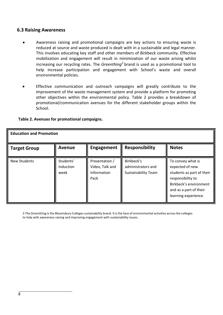## <span id="page-7-0"></span>**6.3 Raising Awareness**

- Awareness raising and promotional campaigns are key actions to ensuring waste is reduced at source and waste produced is dealt with in a sustainable and legal manner. This involves educating key staff and other members of Birkbeck community. Effective mobilization and engagement will result in minimization of our waste arising whilst increasing our recycling rates. The *Greenthing<sup>3</sup>*brand is used as a promotional tool to help increase participation and engagement with School's waste and overall environmental policies.
- Effective communication and outreach campaigns will greatly contribute to the improvement of the waste management system and provide a platform for promoting other objectives within the environmental policy. Table 2 provides a breakdown of promotional/communication avenues for the different stakeholder groups within the School.

| <b>Education and Promotion</b> |                                |                                                          |                                                                |                                                                                                                                                                    |  |
|--------------------------------|--------------------------------|----------------------------------------------------------|----------------------------------------------------------------|--------------------------------------------------------------------------------------------------------------------------------------------------------------------|--|
| <b>Target Group</b>            | <b>Avenue</b>                  | <b>Engagement</b>                                        | <b>Responsibility</b>                                          | <b>Notes</b>                                                                                                                                                       |  |
| <b>New Students</b>            | Students'<br>Induction<br>week | Presentation /<br>Video, Talk and<br>Information<br>Pack | Birkbeck's<br>administrators and<br><b>Sustainability Team</b> | To convey what is<br>expected of new<br>students as part of their<br>responsibility to<br>Birkbeck's environment<br>and as a part of their<br>learning experience. |  |

#### **Table 2. Avenues for promotional campaigns.**

3 The Greenthing is the Bloomsbury Colleges sustainability brand. It is the face of environmental activities across the colleges to help with awareness raising and improving engagement with sustainability issues**.**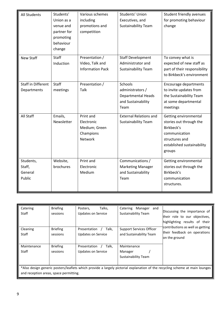| All Students                             | Students'<br>Union as a<br>venue and<br>partner for<br>promoting<br>behaviour<br>change | Various schemes<br>including<br>promotions and<br>competition           | Students' Union<br>Executives, and<br><b>Sustainability Team</b>                       | Student friendly avenues<br>for promoting behaviour<br>change                                                                             |
|------------------------------------------|-----------------------------------------------------------------------------------------|-------------------------------------------------------------------------|----------------------------------------------------------------------------------------|-------------------------------------------------------------------------------------------------------------------------------------------|
| <b>New Staff</b>                         | Staff<br>Induction                                                                      | Presentation /<br>Video, Talk and<br><b>Information Pack</b>            | <b>Staff Development</b><br>Administrator and<br><b>Sustainability Team</b>            | To convey what is<br>expected of new staff as<br>part of their responsibility<br>to Birkbeck's environment                                |
| <b>Staff in Different</b><br>Departments | <b>Staff</b><br>meetings                                                                | Presentation /<br>Talk                                                  | Schools<br>administrators /<br><b>Departmental Heads</b><br>and Sustainability<br>Team | Encourage departments<br>to invite updates from<br>the Sustainability Team<br>at some departmental<br>meetings                            |
| All Staff                                | Emails,<br>Newsletter                                                                   | Print and<br>Electronic<br>Medium; Green<br>Champions<br><b>Network</b> | <b>External Relations and</b><br><b>Sustainability Team</b>                            | Getting environmental<br>stories out through the<br>Birkbeck's<br>communication<br>structures and<br>established sustainability<br>groups |
| Students,<br>Staff,<br>General<br>Public | Website,<br>brochures                                                                   | Print and<br>Electronic<br>Medium                                       | Communications /<br><b>Marketing Manager</b><br>and Sustainability<br>Team             | Getting environmental<br>stories out through the<br>Birkbeck's<br>communication<br>structures.                                            |

| Catering<br><b>Staff</b>                                                                                                                                              | <b>Briefing</b><br>sessions | Talks,<br>Posters,<br><b>Updates on Service</b>    | Manager<br>Catering<br>and<br><b>Sustainability Team</b>   | Discussing the importance of<br>their role to our objectives,<br>highlighting results of their |
|-----------------------------------------------------------------------------------------------------------------------------------------------------------------------|-----------------------------|----------------------------------------------------|------------------------------------------------------------|------------------------------------------------------------------------------------------------|
| Cleaning<br><b>Staff</b>                                                                                                                                              | <b>Briefing</b><br>sessions | Talk,<br>Presentation<br><b>Updates on Service</b> | <b>Support Services Officer</b><br>and Sustainability Team | contributions as well as getting<br>their feedback on operations<br>on the ground              |
| Maintenance<br>Staff                                                                                                                                                  | <b>Briefing</b><br>sessions | Talk,<br>Presentation<br>Updates on Service        | Maintenance<br>Manager<br><b>Sustainability Team</b>       |                                                                                                |
| *Also design generic posters/leaflets which provide a largely pictorial explanation of the recycling scheme at main lounges<br>and reception areas, space permitting. |                             |                                                    |                                                            |                                                                                                |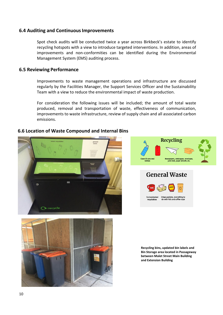# <span id="page-9-0"></span>**6.4 Auditing and ContinuousImprovements**

Spot check audits will be conducted twice a year across Birkbeck's estate to identify recycling hotspots with a view to introduce targeted interventions. In addition, areas of improvements and non-conformities can be identified during the Environmental Management System (EMS) auditing process.

#### <span id="page-9-1"></span>**6.5 Reviewing Performance**

Improvements to waste management operations and infrastructure are discussed regularly by the Facilities Manager, the Support Services Officer and the Sustainability Team with a view to reduce the environmental impact of waste production.

For consideration the following issues will be included; the amount of total waste produced, removal and transportation of waste, effectiveness of communication, improvements to waste infrastructure, review of supply chain and all associated carbon emissions.

#### **6.6 Location of Waste Compound and Internal Bins**









**Recycling bins, updated bin labels and Bin Storage area located in Passageway between Malet Street Main Building and Extension Building**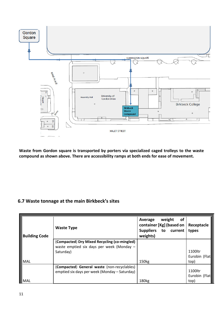

**Waste from Gordon square is transported by porters via specialized caged trolleys to the waste compound as shown above. There are accessibility ramps at both ends for ease of movement.**

# **6.7 Waste tonnage at the main Birkbeck's sites**

| <b>Building Code</b> | <b>Waste Type</b>                                                                                      | weight<br><b>of</b><br>Average<br>container [Kg] (based on<br>Suppliers to current<br>weights) | Receptacle<br>types              |
|----------------------|--------------------------------------------------------------------------------------------------------|------------------------------------------------------------------------------------------------|----------------------------------|
| $\sf IMAL$           | (Compacted) Dry Mixed Recycling (co-mingled)<br>waste emptied six days per week (Monday -<br>Saturday) | 150 <sub>kg</sub>                                                                              | 1100ltr<br>Eurobin (Flat<br>top) |
| $ \sf{MAL}$          | (Compacted) General waste (non-recyclables)<br>emptied six days per week (Monday - Saturday)           | 180 <sub>kg</sub>                                                                              | 1100ltr<br>Eurobin (Flat<br>top) |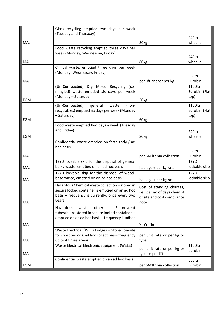|            | Glass recycling emptied two days per week<br>(Tuesday and Thursday)                                                                                           |                                                                                                 |                                  |
|------------|---------------------------------------------------------------------------------------------------------------------------------------------------------------|-------------------------------------------------------------------------------------------------|----------------------------------|
|            |                                                                                                                                                               |                                                                                                 | 240ltr                           |
| MAL        |                                                                                                                                                               | 80kg                                                                                            | wheelie                          |
|            | Food waste recycling emptied three days per<br>week (Monday, Wednesday, Friday)                                                                               |                                                                                                 | 240ltr                           |
| MAL        |                                                                                                                                                               | 80kg                                                                                            | wheelie                          |
|            | Clinical waste, emptied three days per week<br>(Monday, Wednesday, Friday)                                                                                    |                                                                                                 | 660ltr                           |
| MAL        |                                                                                                                                                               | per lift and/or per kg                                                                          | Eurobin                          |
|            | (Un-Compacted) Dry Mixed Recycling (co-<br>mingled) waste emptied six days per week<br>(Monday - Saturday)                                                    |                                                                                                 | 1100ltr<br>Eurobin (Flat<br>top) |
| EGM        |                                                                                                                                                               | 50kg                                                                                            |                                  |
|            | (Un-Compacted)<br>general<br>waste<br>(non-<br>recyclables) emptied six days per week (Monday<br>- Saturday)                                                  |                                                                                                 | 1100ltr<br>Eurobin (Flat<br>top) |
| <b>EGM</b> |                                                                                                                                                               | 60kg                                                                                            |                                  |
|            | Food waste emptied two days a week (Tuesday<br>and Friday)                                                                                                    |                                                                                                 | 240ltr                           |
| EGM        |                                                                                                                                                               | 80kg                                                                                            | wheelie                          |
|            | Confidential waste emptied on fortnightly / ad<br>hoc basis                                                                                                   |                                                                                                 | 660ltr                           |
| MAL        |                                                                                                                                                               | per 660ltr bin collection                                                                       | Eurobin                          |
| MAL        | 12YD lockable skip for the disposal of general<br>bulky waste, emptied on an ad hoc basis                                                                     | haulage + per kg rate                                                                           | 12YD<br>lockable skip            |
| MAL        | 12YD lockable skip for the disposal of wood-<br>base waste, emptied on an ad hoc basis                                                                        | haulage + per kg rate                                                                           | 12YD<br>lockable skip            |
| MAL        | Hazardous Chemical waste collection - stored in<br>secure locked container is emptied on an ad hoc<br>basis - frequency is currently, once every two<br>years | Cost of standing charges,<br>i.e.; per no of days chemist<br>onsite and cost compliance<br>note |                                  |
|            | Hazardous<br>other<br>Fluorescent<br>waste<br>tubes/bulbs stored in secure locked container is<br>emptied on an ad hoc basis - frequency is adhoc             |                                                                                                 |                                  |
| MAL        |                                                                                                                                                               | XL Coffin                                                                                       |                                  |
| MAL        | Waste Electrical (WEE) Fridges - Stored on-site<br>for short periods. ad hoc collections - frequency<br>up to 4 times a year                                  | per unit rate or per kg or<br>type                                                              |                                  |
| MAL        | Waste Electrical Electronic Equipment (WEEE)                                                                                                                  | per unit rate or per kg or<br>type or per lift                                                  | 1100ltr<br>eurobin               |
| EGM        | Confidential waste emptied on an ad hoc basis                                                                                                                 | per 660ltr bin collection                                                                       | 660ltr<br>Eurobin                |